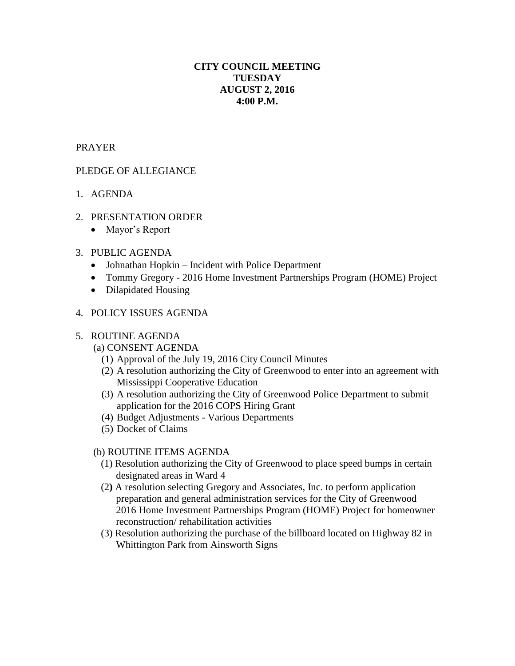# **CITY COUNCIL MEETING TUESDAY AUGUST 2, 2016 4:00 P.M.**

## PRAYER

# PLEDGE OF ALLEGIANCE

- 1. AGENDA
- 2. PRESENTATION ORDER
	- Mayor's Report

## 3. PUBLIC AGENDA

- Johnathan Hopkin Incident with Police Department
- Tommy Gregory 2016 Home Investment Partnerships Program (HOME) Project
- Dilapidated Housing

## 4. POLICY ISSUES AGENDA

#### 5. ROUTINE AGENDA

# (a) CONSENT AGENDA

- (1) Approval of the July 19, 2016 City Council Minutes
- (2) A resolution authorizing the City of Greenwood to enter into an agreement with Mississippi Cooperative Education
- (3) A resolution authorizing the City of Greenwood Police Department to submit application for the 2016 COPS Hiring Grant
- (4) Budget Adjustments Various Departments
- (5) Docket of Claims

#### (b) ROUTINE ITEMS AGENDA

- (1) Resolution authorizing the City of Greenwood to place speed bumps in certain designated areas in Ward 4
- (2**)** A resolution selecting Gregory and Associates, Inc. to perform application preparation and general administration services for the City of Greenwood 2016 Home Investment Partnerships Program (HOME) Project for homeowner reconstruction/ rehabilitation activities
- (3) Resolution authorizing the purchase of the billboard located on Highway 82 in Whittington Park from Ainsworth Signs